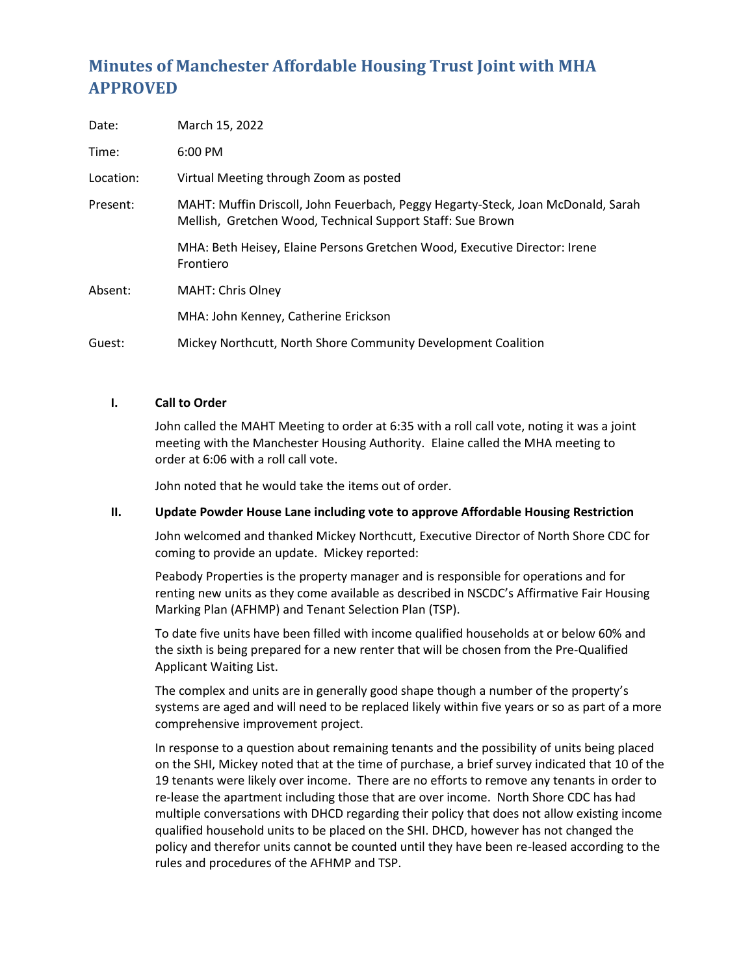# **Minutes of Manchester Affordable Housing Trust Joint with MHA APPROVED**

| Date:     | March 15, 2022                                                                                                                                 |
|-----------|------------------------------------------------------------------------------------------------------------------------------------------------|
| Time:     | $6:00 \text{ PM}$                                                                                                                              |
| Location: | Virtual Meeting through Zoom as posted                                                                                                         |
| Present:  | MAHT: Muffin Driscoll, John Feuerbach, Peggy Hegarty-Steck, Joan McDonald, Sarah<br>Mellish, Gretchen Wood, Technical Support Staff: Sue Brown |
|           | MHA: Beth Heisey, Elaine Persons Gretchen Wood, Executive Director: Irene<br>Frontiero                                                         |
| Absent:   | <b>MAHT: Chris Olney</b>                                                                                                                       |
|           | MHA: John Kenney, Catherine Erickson                                                                                                           |
| Guest:    | Mickey Northcutt, North Shore Community Development Coalition                                                                                  |

# **I. Call to Order**

John called the MAHT Meeting to order at 6:35 with a roll call vote, noting it was a joint meeting with the Manchester Housing Authority. Elaine called the MHA meeting to order at 6:06 with a roll call vote.

John noted that he would take the items out of order.

#### **II. Update Powder House Lane including vote to approve Affordable Housing Restriction**

John welcomed and thanked Mickey Northcutt, Executive Director of North Shore CDC for coming to provide an update. Mickey reported:

Peabody Properties is the property manager and is responsible for operations and for renting new units as they come available as described in NSCDC's Affirmative Fair Housing Marking Plan (AFHMP) and Tenant Selection Plan (TSP).

To date five units have been filled with income qualified households at or below 60% and the sixth is being prepared for a new renter that will be chosen from the Pre-Qualified Applicant Waiting List.

The complex and units are in generally good shape though a number of the property's systems are aged and will need to be replaced likely within five years or so as part of a more comprehensive improvement project.

In response to a question about remaining tenants and the possibility of units being placed on the SHI, Mickey noted that at the time of purchase, a brief survey indicated that 10 of the 19 tenants were likely over income. There are no efforts to remove any tenants in order to re-lease the apartment including those that are over income. North Shore CDC has had multiple conversations with DHCD regarding their policy that does not allow existing income qualified household units to be placed on the SHI. DHCD, however has not changed the policy and therefor units cannot be counted until they have been re-leased according to the rules and procedures of the AFHMP and TSP.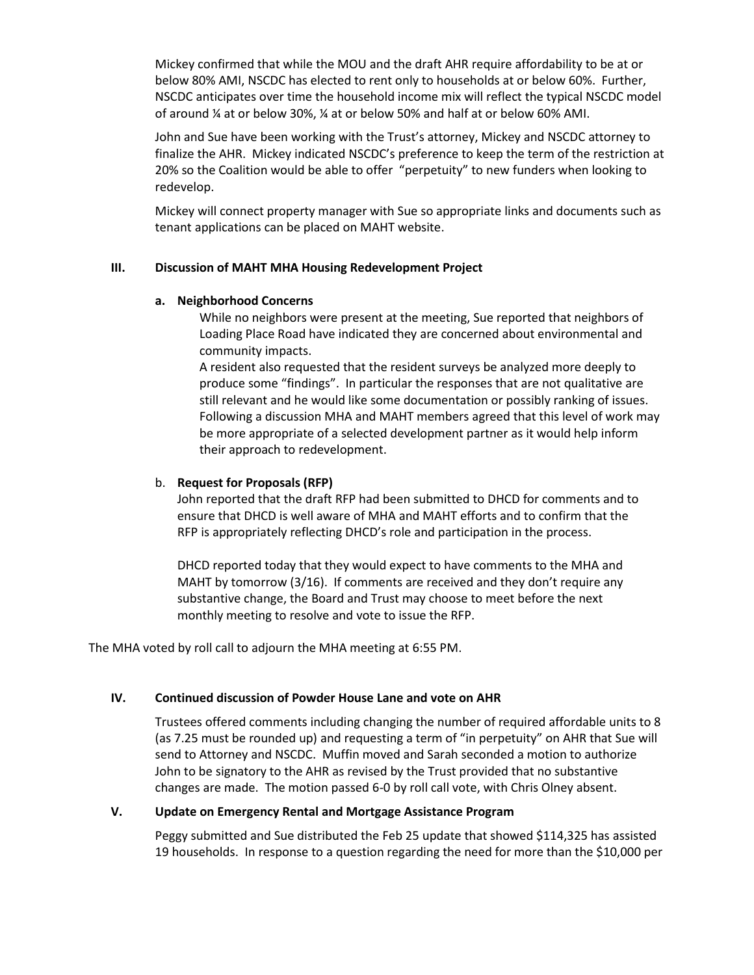Mickey confirmed that while the MOU and the draft AHR require affordability to be at or below 80% AMI, NSCDC has elected to rent only to households at or below 60%. Further, NSCDC anticipates over time the household income mix will reflect the typical NSCDC model of around ¼ at or below 30%, ¼ at or below 50% and half at or below 60% AMI.

John and Sue have been working with the Trust's attorney, Mickey and NSCDC attorney to finalize the AHR. Mickey indicated NSCDC's preference to keep the term of the restriction at 20% so the Coalition would be able to offer "perpetuity" to new funders when looking to redevelop.

Mickey will connect property manager with Sue so appropriate links and documents such as tenant applications can be placed on MAHT website.

# **III. Discussion of MAHT MHA Housing Redevelopment Project**

# **a. Neighborhood Concerns**

While no neighbors were present at the meeting, Sue reported that neighbors of Loading Place Road have indicated they are concerned about environmental and community impacts.

A resident also requested that the resident surveys be analyzed more deeply to produce some "findings". In particular the responses that are not qualitative are still relevant and he would like some documentation or possibly ranking of issues. Following a discussion MHA and MAHT members agreed that this level of work may be more appropriate of a selected development partner as it would help inform their approach to redevelopment.

# b. **Request for Proposals (RFP)**

John reported that the draft RFP had been submitted to DHCD for comments and to ensure that DHCD is well aware of MHA and MAHT efforts and to confirm that the RFP is appropriately reflecting DHCD's role and participation in the process.

DHCD reported today that they would expect to have comments to the MHA and MAHT by tomorrow (3/16). If comments are received and they don't require any substantive change, the Board and Trust may choose to meet before the next monthly meeting to resolve and vote to issue the RFP.

The MHA voted by roll call to adjourn the MHA meeting at 6:55 PM.

# **IV. Continued discussion of Powder House Lane and vote on AHR**

Trustees offered comments including changing the number of required affordable units to 8 (as 7.25 must be rounded up) and requesting a term of "in perpetuity" on AHR that Sue will send to Attorney and NSCDC. Muffin moved and Sarah seconded a motion to authorize John to be signatory to the AHR as revised by the Trust provided that no substantive changes are made. The motion passed 6-0 by roll call vote, with Chris Olney absent.

# **V. Update on Emergency Rental and Mortgage Assistance Program**

Peggy submitted and Sue distributed the Feb 25 update that showed \$114,325 has assisted 19 households. In response to a question regarding the need for more than the \$10,000 per